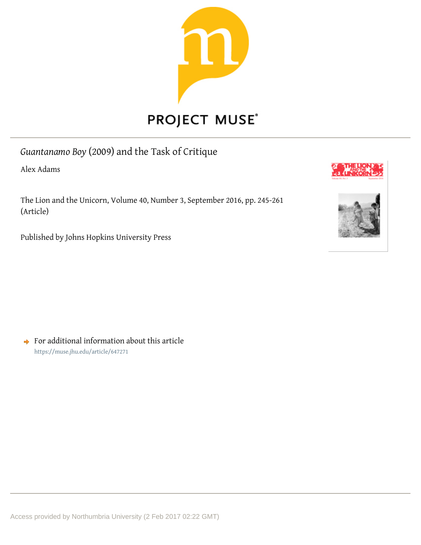

*Guantanamo Boy* (2009) and the Task of Critique

Alex Adams

The Lion and the Unicorn, Volume 40, Number 3, September 2016, pp. 245-261 (Article)

Published by Johns Hopkins University Press



 $\rightarrow$  For additional information about this article <https://muse.jhu.edu/article/647271>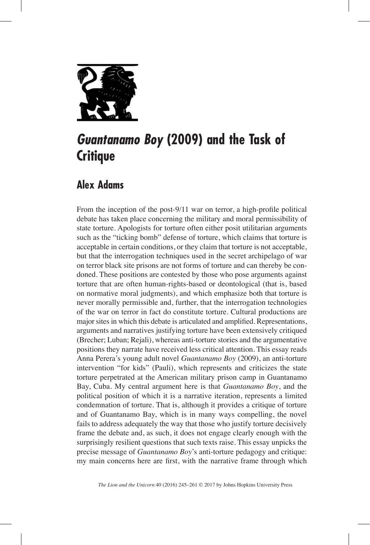

# *Guantanamo Boy* **(2009) and the Task of Critique**

## **Alex Adams**

From the inception of the post-9/11 war on terror, a high-profile political debate has taken place concerning the military and moral permissibility of state torture. Apologists for torture often either posit utilitarian arguments such as the "ticking bomb" defense of torture, which claims that torture is acceptable in certain conditions, or they claim that torture is not acceptable, but that the interrogation techniques used in the secret archipelago of war on terror black site prisons are not forms of torture and can thereby be condoned. These positions are contested by those who pose arguments against torture that are often human-rights-based or deontological (that is, based on normative moral judgments), and which emphasize both that torture is never morally permissible and, further, that the interrogation technologies of the war on terror in fact do constitute torture. Cultural productions are major sites in which this debate is articulated and amplified. Representations, arguments and narratives justifying torture have been extensively critiqued (Brecher; Luban; Rejali), whereas anti-torture stories and the argumentative positions they narrate have received less critical attention. This essay reads Anna Perera's young adult novel *Guantanamo Boy* (2009), an anti-torture intervention "for kids" (Pauli), which represents and criticizes the state torture perpetrated at the American military prison camp in Guantanamo Bay, Cuba. My central argument here is that *Guantanamo Boy*, and the political position of which it is a narrative iteration, represents a limited condemnation of torture. That is, although it provides a critique of torture and of Guantanamo Bay, which is in many ways compelling, the novel fails to address adequately the way that those who justify torture decisively frame the debate and, as such, it does not engage clearly enough with the surprisingly resilient questions that such texts raise. This essay unpicks the precise message of *Guantanamo Boy*'s anti-torture pedagogy and critique: my main concerns here are first, with the narrative frame through which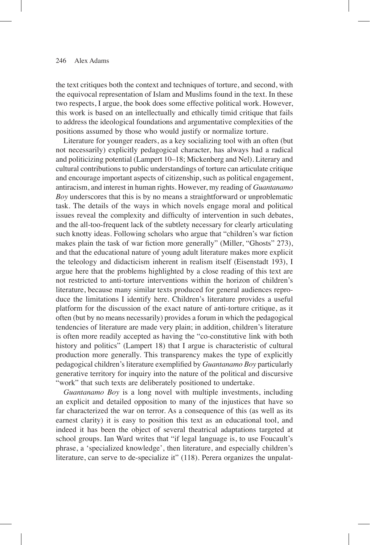the text critiques both the context and techniques of torture, and second, with the equivocal representation of Islam and Muslims found in the text. In these two respects, I argue, the book does some effective political work. However, this work is based on an intellectually and ethically timid critique that fails to address the ideological foundations and argumentative complexities of the positions assumed by those who would justify or normalize torture.

Literature for younger readers, as a key socializing tool with an often (but not necessarily) explicitly pedagogical character, has always had a radical and politicizing potential (Lampert 10–18; Mickenberg and Nel). Literary and cultural contributions to public understandings of torture can articulate critique and encourage important aspects of citizenship, such as political engagement, antiracism, and interest in human rights. However, my reading of *Guantanamo Boy* underscores that this is by no means a straightforward or unproblematic task. The details of the ways in which novels engage moral and political issues reveal the complexity and difficulty of intervention in such debates, and the all-too-frequent lack of the subtlety necessary for clearly articulating such knotty ideas. Following scholars who argue that "children's war fiction makes plain the task of war fiction more generally" (Miller, "Ghosts" 273), and that the educational nature of young adult literature makes more explicit the teleology and didacticism inherent in realism itself (Eisenstadt 193), I argue here that the problems highlighted by a close reading of this text are not restricted to anti-torture interventions within the horizon of children's literature, because many similar texts produced for general audiences reproduce the limitations I identify here. Children's literature provides a useful platform for the discussion of the exact nature of anti-torture critique, as it often (but by no means necessarily) provides a forum in which the pedagogical tendencies of literature are made very plain; in addition, children's literature is often more readily accepted as having the "co-constitutive link with both history and politics" (Lampert 18) that I argue is characteristic of cultural production more generally. This transparency makes the type of explicitly pedagogical children's literature exemplified by *Guantanamo Boy* particularly generative territory for inquiry into the nature of the political and discursive "work" that such texts are deliberately positioned to undertake.

*Guantanamo Boy* is a long novel with multiple investments, including an explicit and detailed opposition to many of the injustices that have so far characterized the war on terror. As a consequence of this (as well as its earnest clarity) it is easy to position this text as an educational tool, and indeed it has been the object of several theatrical adaptations targeted at school groups. Ian Ward writes that "if legal language is, to use Foucault's phrase, a 'specialized knowledge', then literature, and especially children's literature, can serve to de-specialize it" (118). Perera organizes the unpalat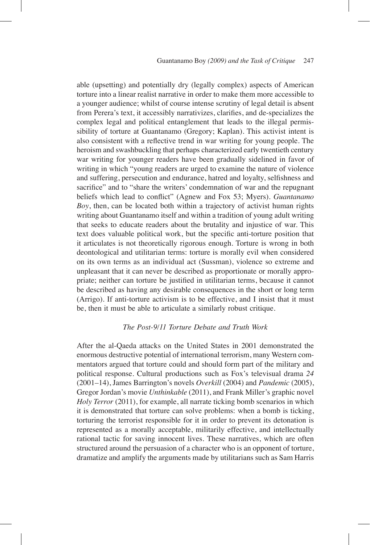able (upsetting) and potentially dry (legally complex) aspects of American torture into a linear realist narrative in order to make them more accessible to a younger audience; whilst of course intense scrutiny of legal detail is absent from Perera's text, it accessibly narrativizes, clarifies, and de-specializes the complex legal and political entanglement that leads to the illegal permissibility of torture at Guantanamo (Gregory; Kaplan). This activist intent is also consistent with a reflective trend in war writing for young people. The heroism and swashbuckling that perhaps characterized early twentieth century war writing for younger readers have been gradually sidelined in favor of writing in which "young readers are urged to examine the nature of violence and suffering, persecution and endurance, hatred and loyalty, selfishness and sacrifice" and to "share the writers' condemnation of war and the repugnant beliefs which lead to conflict" (Agnew and Fox 53; Myers). *Guantanamo Boy*, then, can be located both within a trajectory of activist human rights writing about Guantanamo itself and within a tradition of young adult writing that seeks to educate readers about the brutality and injustice of war. This text does valuable political work, but the specific anti-torture position that it articulates is not theoretically rigorous enough. Torture is wrong in both deontological and utilitarian terms: torture is morally evil when considered on its own terms as an individual act (Sussman), violence so extreme and unpleasant that it can never be described as proportionate or morally appropriate; neither can torture be justified in utilitarian terms, because it cannot be described as having any desirable consequences in the short or long term (Arrigo). If anti-torture activism is to be effective, and I insist that it must be, then it must be able to articulate a similarly robust critique.

### *The Post-9/11 Torture Debate and Truth Work*

After the al-Qaeda attacks on the United States in 2001 demonstrated the enormous destructive potential of international terrorism, many Western commentators argued that torture could and should form part of the military and political response. Cultural productions such as Fox's televisual drama *24* (2001–14), James Barrington's novels *Overkill* (2004) and *Pandemic* (2005), Gregor Jordan's movie *Unthinkable* (2011), and Frank Miller's graphic novel *Holy Terror* (2011), for example, all narrate ticking bomb scenarios in which it is demonstrated that torture can solve problems: when a bomb is ticking, torturing the terrorist responsible for it in order to prevent its detonation is represented as a morally acceptable, militarily effective, and intellectually rational tactic for saving innocent lives. These narratives, which are often structured around the persuasion of a character who is an opponent of torture, dramatize and amplify the arguments made by utilitarians such as Sam Harris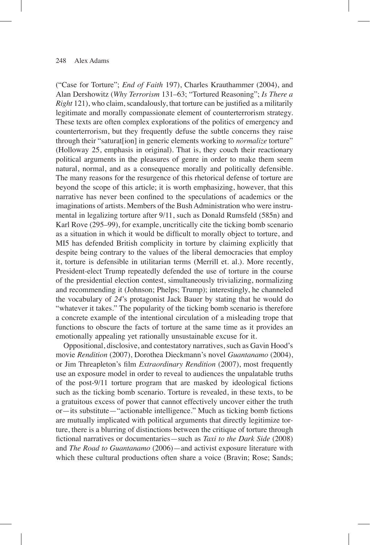("Case for Torture"; *End of Faith* 197), Charles Krauthammer (2004), and Alan Dershowitz (*Why Terrorism* 131–63; "Tortured Reasoning"; *Is There a Right* 121), who claim, scandalously, that torture can be justified as a militarily legitimate and morally compassionate element of counterterrorism strategy. These texts are often complex explorations of the politics of emergency and counterterrorism, but they frequently defuse the subtle concerns they raise through their "saturat[ion] in generic elements working to *normalize* torture" (Holloway 25, emphasis in original). That is, they couch their reactionary political arguments in the pleasures of genre in order to make them seem natural, normal, and as a consequence morally and politically defensible. The many reasons for the resurgence of this rhetorical defense of torture are beyond the scope of this article; it is worth emphasizing, however, that this narrative has never been confined to the speculations of academics or the imaginations of artists. Members of the Bush Administration who were instrumental in legalizing torture after 9/11, such as Donald Rumsfeld (585n) and Karl Rove (295–99), for example, uncritically cite the ticking bomb scenario as a situation in which it would be difficult to morally object to torture, and MI5 has defended British complicity in torture by claiming explicitly that despite being contrary to the values of the liberal democracies that employ it, torture is defensible in utilitarian terms (Merrill et. al.). More recently, President-elect Trump repeatedly defended the use of torture in the course of the presidential election contest, simultaneously trivializing, normalizing and recommending it (Johnson; Phelps; Trump); interestingly, he channeled the vocabulary of *24*'s protagonist Jack Bauer by stating that he would do "whatever it takes." The popularity of the ticking bomb scenario is therefore a concrete example of the intentional circulation of a misleading trope that functions to obscure the facts of torture at the same time as it provides an emotionally appealing yet rationally unsustainable excuse for it.

Oppositional, disclosive, and contestatory narratives, such as Gavin Hood's movie *Rendition* (2007), Dorothea Dieckmann's novel *Guantanamo* (2004), or Jim Threapleton's film *Extraordinary Rendition* (2007), most frequently use an exposure model in order to reveal to audiences the unpalatable truths of the post-9/11 torture program that are masked by ideological fictions such as the ticking bomb scenario. Torture is revealed, in these texts, to be a gratuitous excess of power that cannot effectively uncover either the truth or—its substitute—"actionable intelligence." Much as ticking bomb fictions are mutually implicated with political arguments that directly legitimize torture, there is a blurring of distinctions between the critique of torture through fictional narratives or documentaries—such as *Taxi to the Dark Side* (2008) and *The Road to Guantanamo* (2006)—and activist exposure literature with which these cultural productions often share a voice (Bravin; Rose; Sands;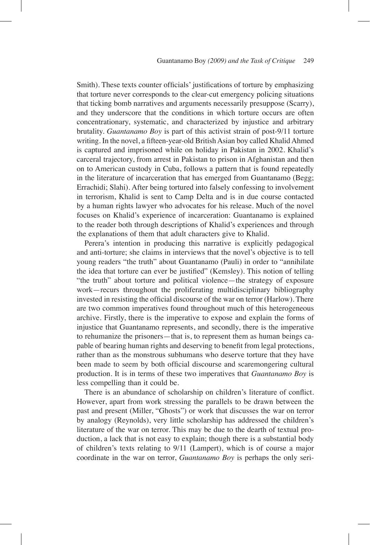Smith). These texts counter officials' justifications of torture by emphasizing that torture never corresponds to the clear-cut emergency policing situations that ticking bomb narratives and arguments necessarily presuppose (Scarry), and they underscore that the conditions in which torture occurs are often concentrationary, systematic, and characterized by injustice and arbitrary brutality. *Guantanamo Boy* is part of this activist strain of post-9/11 torture writing. In the novel, a fifteen-year-old British Asian boy called Khalid Ahmed is captured and imprisoned while on holiday in Pakistan in 2002. Khalid's carceral trajectory, from arrest in Pakistan to prison in Afghanistan and then on to American custody in Cuba, follows a pattern that is found repeatedly in the literature of incarceration that has emerged from Guantanamo (Begg; Errachidi; Slahi). After being tortured into falsely confessing to involvement in terrorism, Khalid is sent to Camp Delta and is in due course contacted by a human rights lawyer who advocates for his release. Much of the novel focuses on Khalid's experience of incarceration: Guantanamo is explained to the reader both through descriptions of Khalid's experiences and through the explanations of them that adult characters give to Khalid.

Perera's intention in producing this narrative is explicitly pedagogical and anti-torture; she claims in interviews that the novel's objective is to tell young readers "the truth" about Guantanamo (Pauli) in order to "annihilate the idea that torture can ever be justified" (Kemsley). This notion of telling "the truth" about torture and political violence—the strategy of exposure work—recurs throughout the proliferating multidisciplinary bibliography invested in resisting the official discourse of the war on terror (Harlow). There are two common imperatives found throughout much of this heterogeneous archive. Firstly, there is the imperative to expose and explain the forms of injustice that Guantanamo represents, and secondly, there is the imperative to rehumanize the prisoners—that is, to represent them as human beings capable of bearing human rights and deserving to benefit from legal protections, rather than as the monstrous subhumans who deserve torture that they have been made to seem by both official discourse and scaremongering cultural production. It is in terms of these two imperatives that *Guantanamo Boy* is less compelling than it could be.

There is an abundance of scholarship on children's literature of conflict. However, apart from work stressing the parallels to be drawn between the past and present (Miller, "Ghosts") or work that discusses the war on terror by analogy (Reynolds), very little scholarship has addressed the children's literature of the war on terror. This may be due to the dearth of textual production, a lack that is not easy to explain; though there is a substantial body of children's texts relating to 9/11 (Lampert), which is of course a major coordinate in the war on terror, *Guantanamo Boy* is perhaps the only seri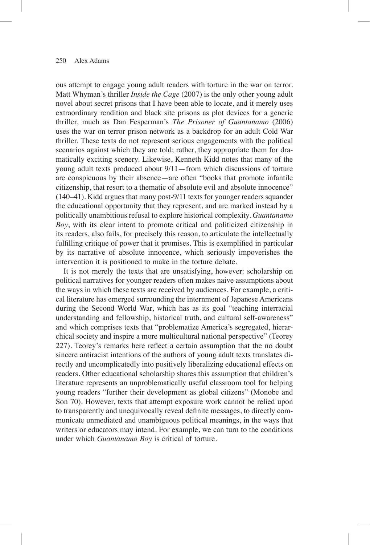ous attempt to engage young adult readers with torture in the war on terror. Matt Whyman's thriller *Inside the Cage* (2007) is the only other young adult novel about secret prisons that I have been able to locate, and it merely uses extraordinary rendition and black site prisons as plot devices for a generic thriller, much as Dan Fesperman's *The Prisoner of Guantanamo* (2006) uses the war on terror prison network as a backdrop for an adult Cold War thriller. These texts do not represent serious engagements with the political scenarios against which they are told; rather, they appropriate them for dramatically exciting scenery. Likewise, Kenneth Kidd notes that many of the young adult texts produced about 9/11—from which discussions of torture are conspicuous by their absence—are often "books that promote infantile citizenship, that resort to a thematic of absolute evil and absolute innocence" (140–41). Kidd argues that many post-9/11 texts for younger readers squander the educational opportunity that they represent, and are marked instead by a politically unambitious refusal to explore historical complexity. *Guantanamo Boy*, with its clear intent to promote critical and politicized citizenship in its readers, also fails, for precisely this reason, to articulate the intellectually fulfilling critique of power that it promises. This is exemplified in particular by its narrative of absolute innocence, which seriously impoverishes the intervention it is positioned to make in the torture debate.

It is not merely the texts that are unsatisfying, however: scholarship on political narratives for younger readers often makes naive assumptions about the ways in which these texts are received by audiences. For example, a critical literature has emerged surrounding the internment of Japanese Americans during the Second World War, which has as its goal "teaching interracial understanding and fellowship, historical truth, and cultural self-awareness" and which comprises texts that "problematize America's segregated, hierarchical society and inspire a more multicultural national perspective" (Teorey 227). Teorey's remarks here reflect a certain assumption that the no doubt sincere antiracist intentions of the authors of young adult texts translates directly and uncomplicatedly into positively liberalizing educational effects on readers. Other educational scholarship shares this assumption that children's literature represents an unproblematically useful classroom tool for helping young readers "further their development as global citizens" (Monobe and Son 70). However, texts that attempt exposure work cannot be relied upon to transparently and unequivocally reveal definite messages, to directly communicate unmediated and unambiguous political meanings, in the ways that writers or educators may intend. For example, we can turn to the conditions under which *Guantanamo Boy* is critical of torture.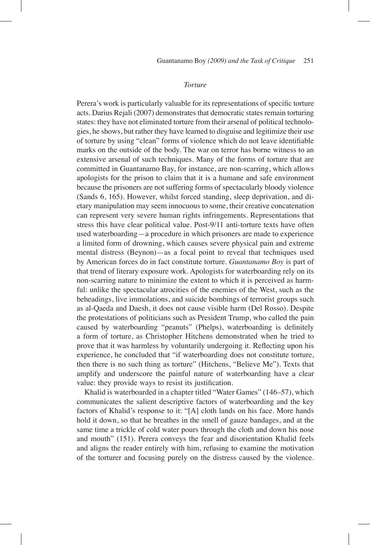#### *Torture*

Perera's work is particularly valuable for its representations of specific torture acts. Darius Rejali (2007) demonstrates that democratic states remain torturing states: they have not eliminated torture from their arsenal of political technologies, he shows, but rather they have learned to disguise and legitimize their use of torture by using "clean" forms of violence which do not leave identifiable marks on the outside of the body. The war on terror has borne witness to an extensive arsenal of such techniques. Many of the forms of torture that are committed in Guantanamo Bay, for instance, are non-scarring, which allows apologists for the prison to claim that it is a humane and safe environment because the prisoners are not suffering forms of spectacularly bloody violence (Sands 6, 165). However, whilst forced standing, sleep deprivation, and dietary manipulation may seem innocuous to some, their creative concatenation can represent very severe human rights infringements. Representations that stress this have clear political value. Post-9/11 anti-torture texts have often used waterboarding—a procedure in which prisoners are made to experience a limited form of drowning, which causes severe physical pain and extreme mental distress (Beynon)—as a focal point to reveal that techniques used by American forces do in fact constitute torture. *Guantanamo Boy* is part of that trend of literary exposure work. Apologists for waterboarding rely on its non-scarring nature to minimize the extent to which it is perceived as harmful: unlike the spectacular atrocities of the enemies of the West, such as the beheadings, live immolations, and suicide bombings of terrorist groups such as al-Qaeda and Daesh, it does not cause visible harm (Del Rosso). Despite the protestations of politicians such as President Trump, who called the pain caused by waterboarding "peanuts" (Phelps), waterboarding is definitely a form of torture, as Christopher Hitchens demonstrated when he tried to prove that it was harmless by voluntarily undergoing it. Reflecting upon his experience, he concluded that "if waterboarding does not constitute torture, then there is no such thing as torture" (Hitchens, "Believe Me"). Texts that amplify and underscore the painful nature of waterboarding have a clear value: they provide ways to resist its justification.

Khalid is waterboarded in a chapter titled "Water Games" (146–57), which communicates the salient descriptive factors of waterboarding and the key factors of Khalid's response to it: "[A] cloth lands on his face. More hands hold it down, so that he breathes in the smell of gauze bandages, and at the same time a trickle of cold water pours through the cloth and down his nose and mouth" (151). Perera conveys the fear and disorientation Khalid feels and aligns the reader entirely with him, refusing to examine the motivation of the torturer and focusing purely on the distress caused by the violence.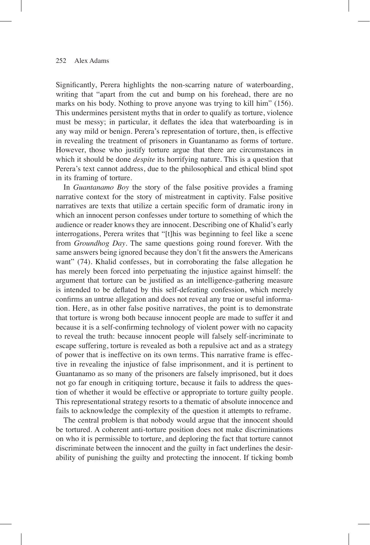Significantly, Perera highlights the non-scarring nature of waterboarding, writing that "apart from the cut and bump on his forehead, there are no marks on his body. Nothing to prove anyone was trying to kill him" (156). This undermines persistent myths that in order to qualify as torture, violence must be messy; in particular, it deflates the idea that waterboarding is in any way mild or benign. Perera's representation of torture, then, is effective in revealing the treatment of prisoners in Guantanamo as forms of torture. However, those who justify torture argue that there are circumstances in which it should be done *despite* its horrifying nature. This is a question that Perera's text cannot address, due to the philosophical and ethical blind spot in its framing of torture.

In *Guantanamo Boy* the story of the false positive provides a framing narrative context for the story of mistreatment in captivity. False positive narratives are texts that utilize a certain specific form of dramatic irony in which an innocent person confesses under torture to something of which the audience or reader knows they are innocent. Describing one of Khalid's early interrogations, Perera writes that "[t]his was beginning to feel like a scene from *Groundhog Day*. The same questions going round forever. With the same answers being ignored because they don't fit the answers the Americans want" (74). Khalid confesses, but in corroborating the false allegation he has merely been forced into perpetuating the injustice against himself: the argument that torture can be justified as an intelligence-gathering measure is intended to be deflated by this self-defeating confession, which merely confirms an untrue allegation and does not reveal any true or useful information. Here, as in other false positive narratives, the point is to demonstrate that torture is wrong both because innocent people are made to suffer it and because it is a self-confirming technology of violent power with no capacity to reveal the truth: because innocent people will falsely self-incriminate to escape suffering, torture is revealed as both a repulsive act and as a strategy of power that is ineffective on its own terms. This narrative frame is effective in revealing the injustice of false imprisonment, and it is pertinent to Guantanamo as so many of the prisoners are falsely imprisoned, but it does not go far enough in critiquing torture, because it fails to address the question of whether it would be effective or appropriate to torture guilty people. This representational strategy resorts to a thematic of absolute innocence and fails to acknowledge the complexity of the question it attempts to reframe.

The central problem is that nobody would argue that the innocent should be tortured. A coherent anti-torture position does not make discriminations on who it is permissible to torture, and deploring the fact that torture cannot discriminate between the innocent and the guilty in fact underlines the desirability of punishing the guilty and protecting the innocent. If ticking bomb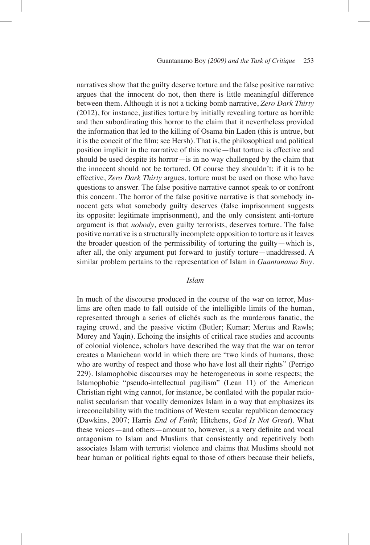narratives show that the guilty deserve torture and the false positive narrative argues that the innocent do not, then there is little meaningful difference between them. Although it is not a ticking bomb narrative, *Zero Dark Thirty*  (2012), for instance, justifies torture by initially revealing torture as horrible and then subordinating this horror to the claim that it nevertheless provided the information that led to the killing of Osama bin Laden (this is untrue, but it is the conceit of the film; see Hersh). That is, the philosophical and political position implicit in the narrative of this movie—that torture is effective and should be used despite its horror—is in no way challenged by the claim that the innocent should not be tortured. Of course they shouldn't: if it is to be effective, *Zero Dark Thirty* argues, torture must be used on those who have questions to answer. The false positive narrative cannot speak to or confront this concern. The horror of the false positive narrative is that somebody innocent gets what somebody guilty deserves (false imprisonment suggests its opposite: legitimate imprisonment), and the only consistent anti-torture argument is that *nobody*, even guilty terrorists, deserves torture. The false positive narrative is a structurally incomplete opposition to torture as it leaves the broader question of the permissibility of torturing the guilty—which is, after all, the only argument put forward to justify torture—unaddressed. A similar problem pertains to the representation of Islam in *Guantanamo Boy*.

#### *Islam*

In much of the discourse produced in the course of the war on terror, Muslims are often made to fall outside of the intelligible limits of the human, represented through a series of clichés such as the murderous fanatic, the raging crowd, and the passive victim (Butler; Kumar; Mertus and Rawls; Morey and Yaqin). Echoing the insights of critical race studies and accounts of colonial violence, scholars have described the way that the war on terror creates a Manichean world in which there are "two kinds of humans, those who are worthy of respect and those who have lost all their rights" (Perrigo 229). Islamophobic discourses may be heterogeneous in some respects; the Islamophobic "pseudo-intellectual pugilism" (Lean 11) of the American Christian right wing cannot, for instance, be conflated with the popular rationalist secularism that vocally demonizes Islam in a way that emphasizes its irreconcilability with the traditions of Western secular republican democracy (Dawkins, 2007; Harris *End of Faith*; Hitchens, *God Is Not Great*). What these voices—and others—amount to, however, is a very definite and vocal antagonism to Islam and Muslims that consistently and repetitively both associates Islam with terrorist violence and claims that Muslims should not bear human or political rights equal to those of others because their beliefs,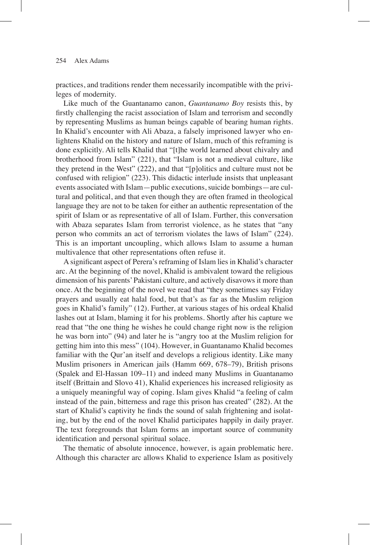practices, and traditions render them necessarily incompatible with the privileges of modernity.

Like much of the Guantanamo canon, *Guantanamo Boy* resists this, by firstly challenging the racist association of Islam and terrorism and secondly by representing Muslims as human beings capable of bearing human rights. In Khalid's encounter with Ali Abaza, a falsely imprisoned lawyer who enlightens Khalid on the history and nature of Islam, much of this reframing is done explicitly. Ali tells Khalid that "[t]he world learned about chivalry and brotherhood from Islam" (221), that "Islam is not a medieval culture, like they pretend in the West" (222), and that "[p]olitics and culture must not be confused with religion" (223). This didactic interlude insists that unpleasant events associated with Islam—public executions, suicide bombings—are cultural and political, and that even though they are often framed in theological language they are not to be taken for either an authentic representation of the spirit of Islam or as representative of all of Islam. Further, this conversation with Abaza separates Islam from terrorist violence, as he states that "any person who commits an act of terrorism violates the laws of Islam" (224). This is an important uncoupling, which allows Islam to assume a human multivalence that other representations often refuse it.

A significant aspect of Perera's reframing of Islam lies in Khalid's character arc. At the beginning of the novel, Khalid is ambivalent toward the religious dimension of his parents' Pakistani culture, and actively disavows it more than once. At the beginning of the novel we read that "they sometimes say Friday prayers and usually eat halal food, but that's as far as the Muslim religion goes in Khalid's family" (12). Further, at various stages of his ordeal Khalid lashes out at Islam, blaming it for his problems. Shortly after his capture we read that "the one thing he wishes he could change right now is the religion he was born into" (94) and later he is "angry too at the Muslim religion for getting him into this mess" (104). However, in Guantanamo Khalid becomes familiar with the Qur'an itself and develops a religious identity. Like many Muslim prisoners in American jails (Hamm 669, 678–79), British prisons (Spalek and El-Hassan 109–11) and indeed many Muslims in Guantanamo itself (Brittain and Slovo 41), Khalid experiences his increased religiosity as a uniquely meaningful way of coping. Islam gives Khalid "a feeling of calm instead of the pain, bitterness and rage this prison has created" (282). At the start of Khalid's captivity he finds the sound of salah frightening and isolating, but by the end of the novel Khalid participates happily in daily prayer. The text foregrounds that Islam forms an important source of community identification and personal spiritual solace.

The thematic of absolute innocence, however, is again problematic here. Although this character arc allows Khalid to experience Islam as positively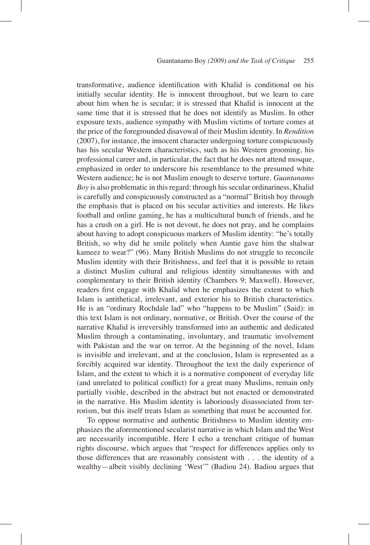transformative, audience identification with Khalid is conditional on his initially secular identity. He is innocent throughout, but we learn to care about him when he is secular; it is stressed that Khalid is innocent at the same time that it is stressed that he does not identify as Muslim. In other exposure texts, audience sympathy with Muslim victims of torture comes at the price of the foregrounded disavowal of their Muslim identity. In *Rendition*  (2007), for instance, the innocent character undergoing torture conspicuously has his secular Western characteristics, such as his Western grooming, his professional career and, in particular, the fact that he does not attend mosque, emphasized in order to underscore his resemblance to the presumed white Western audience; he is not Muslim enough to deserve torture. *Guantanamo Boy* is also problematic in this regard: through his secular ordinariness, Khalid is carefully and conspicuously constructed as a "normal" British boy through the emphasis that is placed on his secular activities and interests. He likes football and online gaming, he has a multicultural bunch of friends, and he has a crush on a girl. He is not devout, he does not pray, and he complains about having to adopt conspicuous markers of Muslim identity: "he's totally British, so why did he smile politely when Auntie gave him the shalwar kameez to wear?" (96). Many British Muslims do not struggle to reconcile Muslim identity with their Britishness, and feel that it is possible to retain a distinct Muslim cultural and religious identity simultaneous with and complementary to their British identity (Chambers 9; Maxwell). However, readers first engage with Khalid when he emphasizes the extent to which Islam is antithetical, irrelevant, and exterior his to British characteristics. He is an "ordinary Rochdale lad" who "happens to be Muslim" (Said): in this text Islam is not ordinary, normative, or British. Over the course of the narrative Khalid is irreversibly transformed into an authentic and dedicated Muslim through a contaminating, involuntary, and traumatic involvement with Pakistan and the war on terror. At the beginning of the novel, Islam is invisible and irrelevant, and at the conclusion, Islam is represented as a forcibly acquired war identity. Throughout the text the daily experience of Islam, and the extent to which it is a normative component of everyday life (and unrelated to political conflict) for a great many Muslims, remain only partially visible, described in the abstract but not enacted or demonstrated in the narrative. His Muslim identity is laboriously disassociated from terrorism, but this itself treats Islam as something that must be accounted for.

 To oppose normative and authentic Britishness to Muslim identity emphasizes the aforementioned secularist narrative in which Islam and the West are necessarily incompatible. Here I echo a trenchant critique of human rights discourse, which argues that "respect for differences applies only to those differences that are reasonably consistent with . . . the identity of a wealthy—albeit visibly declining 'West'" (Badiou 24). Badiou argues that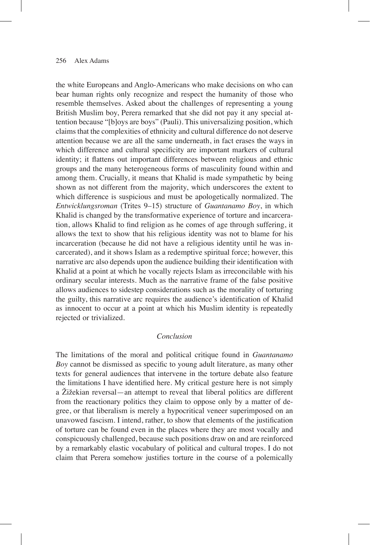the white Europeans and Anglo-Americans who make decisions on who can bear human rights only recognize and respect the humanity of those who resemble themselves. Asked about the challenges of representing a young British Muslim boy, Perera remarked that she did not pay it any special attention because "[b]oys are boys" (Pauli). This universalizing position, which claims that the complexities of ethnicity and cultural difference do not deserve attention because we are all the same underneath, in fact erases the ways in which difference and cultural specificity are important markers of cultural identity; it flattens out important differences between religious and ethnic groups and the many heterogeneous forms of masculinity found within and among them. Crucially, it means that Khalid is made sympathetic by being shown as not different from the majority, which underscores the extent to which difference is suspicious and must be apologetically normalized. The *Entwicklungsroman* (Trites 9–15) structure of *Guantanamo Boy*, in which Khalid is changed by the transformative experience of torture and incarceration, allows Khalid to find religion as he comes of age through suffering, it allows the text to show that his religious identity was not to blame for his incarceration (because he did not have a religious identity until he was incarcerated), and it shows Islam as a redemptive spiritual force; however, this narrative arc also depends upon the audience building their identification with Khalid at a point at which he vocally rejects Islam as irreconcilable with his ordinary secular interests. Much as the narrative frame of the false positive allows audiences to sidestep considerations such as the morality of torturing the guilty, this narrative arc requires the audience's identification of Khalid as innocent to occur at a point at which his Muslim identity is repeatedly rejected or trivialized.

#### *Conclusion*

The limitations of the moral and political critique found in *Guantanamo Boy* cannot be dismissed as specific to young adult literature, as many other texts for general audiences that intervene in the torture debate also feature the limitations I have identified here. My critical gesture here is not simply a Žižekian reversal—an attempt to reveal that liberal politics are different from the reactionary politics they claim to oppose only by a matter of degree, or that liberalism is merely a hypocritical veneer superimposed on an unavowed fascism. I intend, rather, to show that elements of the justification of torture can be found even in the places where they are most vocally and conspicuously challenged, because such positions draw on and are reinforced by a remarkably elastic vocabulary of political and cultural tropes. I do not claim that Perera somehow justifies torture in the course of a polemically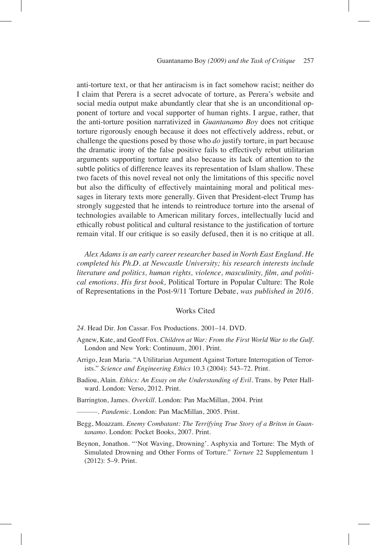anti-torture text, or that her antiracism is in fact somehow racist; neither do I claim that Perera is a secret advocate of torture, as Perera's website and social media output make abundantly clear that she is an unconditional opponent of torture and vocal supporter of human rights. I argue, rather, that the anti-torture position narrativized in *Guantanamo Boy* does not critique torture rigorously enough because it does not effectively address, rebut, or challenge the questions posed by those who *do* justify torture, in part because the dramatic irony of the false positive fails to effectively rebut utilitarian arguments supporting torture and also because its lack of attention to the subtle politics of difference leaves its representation of Islam shallow. These two facets of this novel reveal not only the limitations of this specific novel but also the difficulty of effectively maintaining moral and political messages in literary texts more generally. Given that President-elect Trump has strongly suggested that he intends to reintroduce torture into the arsenal of technologies available to American military forces, intellectually lucid and ethically robust political and cultural resistance to the justification of torture remain vital. If our critique is so easily defused, then it is no critique at all.

*Alex Adams is an early career researcher based in North East England. He completed his Ph.D. at Newcastle University; his research interests include literature and politics, human rights, violence, masculinity, film, and political emotions. His first book,* Political Torture in Popular Culture: The Role of Representations in the Post-9/11 Torture Debate, *was published in 2016.*

#### Works Cited

- *24*. Head Dir. Jon Cassar. Fox Productions. 2001–14. DVD.
- Agnew, Kate, and Geoff Fox. *Children at War: From the First World War to the Gulf*. London and New York: Continuum, 2001. Print.
- Arrigo, Jean Maria. "A Utilitarian Argument Against Torture Interrogation of Terrorists." *Science and Engineering Ethics* 10.3 (2004): 543–72. Print.
- Badiou, Alain. *Ethics: An Essay on the Understanding of Evil.* Trans. by Peter Hallward. London: Verso, 2012. Print.
- Barrington, James. *Overkill*. London: Pan MacMillan, 2004. Print
- ———. *Pandemic.* London: Pan MacMillan, 2005. Print.
- Begg, Moazzam. *Enemy Combatant: The Terrifying True Story of a Briton in Guantanamo.* London: Pocket Books, 2007. Print.
- Beynon, Jonathon. "'Not Waving, Drowning'. Asphyxia and Torture: The Myth of Simulated Drowning and Other Forms of Torture." *Torture* 22 Supplementum 1 (2012): 5–9. Print.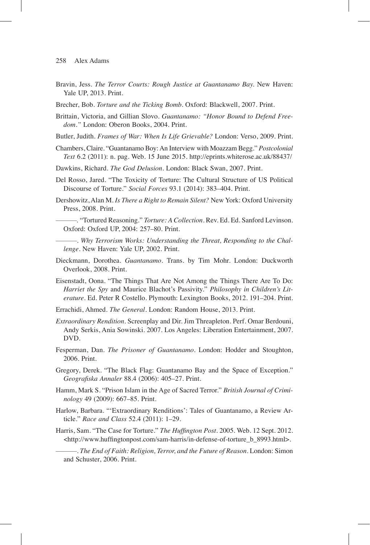- Bravin, Jess. *The Terror Courts: Rough Justice at Guantanamo Bay.* New Haven: Yale UP, 2013. Print.
- Brecher, Bob. *Torture and the Ticking Bomb.* Oxford: Blackwell, 2007. Print.
- Brittain, Victoria, and Gillian Slovo. *Guantanamo: "Honor Bound to Defend Freedom."* London: Oberon Books, 2004. Print.
- Butler, Judith. *Frames of War: When Is Life Grievable?* London: Verso, 2009. Print.
- Chambers, Claire. "Guantanamo Boy: An Interview with Moazzam Begg." *Postcolonial Text* 6.2 (2011): n. pag. Web. 15 June 2015. http://eprints.whiterose.ac.uk/88437/
- Dawkins, Richard. *The God Delusion.* London: Black Swan, 2007. Print.
- Del Rosso, Jared. "The Toxicity of Torture: The Cultural Structure of US Political Discourse of Torture." *Social Forces* 93.1 (2014): 383–404. Print.
- Dershowitz, Alan M. *Is There a Right to Remain Silent?* New York: Oxford University Press, 2008. Print.
	- ———. "Tortured Reasoning." *Torture: A Collection.* Rev. Ed. Ed. Sanford Levinson. Oxford: Oxford UP, 2004: 257–80. Print.
	- ———. *Why Terrorism Works: Understanding the Threat, Responding to the Challenge.* New Haven: Yale UP, 2002. Print.
- Dieckmann, Dorothea. *Guantanamo.* Trans. by Tim Mohr. London: Duckworth Overlook, 2008. Print.
- Eisenstadt, Oona. "The Things That Are Not Among the Things There Are To Do: *Harriet the Spy* and Maurice Blachot's Passivity." *Philosophy in Children's Literature.* Ed. Peter R Costello. Plymouth: Lexington Books, 2012. 191–204. Print.
- Errachidi, Ahmed. *The General.* London: Random House, 2013. Print.
- *Extraordinary Rendition*. Screenplay and Dir. Jim Threapleton. Perf. Omar Berdouni, Andy Serkis, Ania Sowinski. 2007. Los Angeles: Liberation Entertainment, 2007. DVD.
- Fesperman, Dan. *The Prisoner of Guantanamo.* London: Hodder and Stoughton, 2006. Print.
- Gregory, Derek. "The Black Flag: Guantanamo Bay and the Space of Exception." *Geografiska Annaler* 88.4 (2006): 405–27. Print.
- Hamm, Mark S. "Prison Islam in the Age of Sacred Terror." *British Journal of Criminology* 49 (2009): 667–85. Print.
- Harlow, Barbara. "'Extraordinary Renditions': Tales of Guantanamo, a Review Article." *Race and Class* 52.4 (2011): 1–29.
- Harris, Sam. "The Case for Torture." *The Huffington Post.* 2005. Web. 12 Sept. 2012. <http://www.huffingtonpost.com/sam-harris/in-defense-of-torture\_b\_8993.html>.

———. *The End of Faith: Religion, Terror, and the Future of Reason.* London: Simon and Schuster, 2006. Print.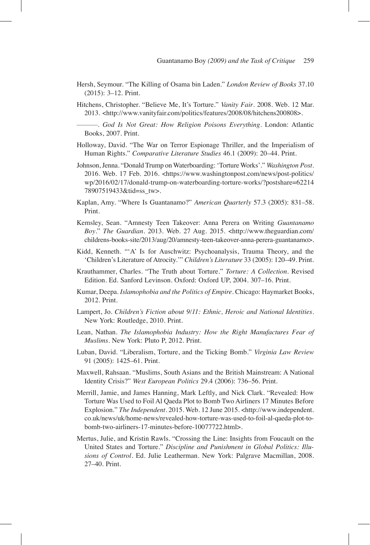- Hersh, Seymour. "The Killing of Osama bin Laden." *London Review of Books* 37.10 (2015): 3–12. Print.
- Hitchens, Christopher. "Believe Me, It's Torture." *Vanity Fair*. 2008. Web. 12 Mar. 2013. <http://www.vanityfair.com/politics/features/2008/08/hitchens200808>.
	- ———. *God Is Not Great: How Religion Poisons Everything*. London: Atlantic Books, 2007. Print.
- Holloway, David. "The War on Terror Espionage Thriller, and the Imperialism of Human Rights." *Comparative Literature Studies* 46.1 (2009): 20–44. Print.
- Johnson, Jenna. "Donald Trump on Waterboarding: 'Torture Works'." *Washington Post*. 2016. Web. 17 Feb. 2016. <https://www.washingtonpost.com/news/post-politics/ wp/2016/02/17/donald-trump-on-waterboarding-torture-works/?postshare=62214 78907519433&tid=ss\_tw>.
- Kaplan, Amy. "Where Is Guantanamo?" *American Quarterly* 57.3 (2005): 831–58. Print.
- Kemsley, Sean. "Amnesty Teen Takeover: Anna Perera on Writing *Guantanamo Boy*." *The Guardian*. 2013. Web. 27 Aug. 2015. <http://www.theguardian.com/ childrens-books-site/2013/aug/20/amnesty-teen-takeover-anna-perera-guantanamo>.
- Kidd, Kenneth. "'A' Is for Auschwitz: Psychoanalysis, Trauma Theory, and the 'Children's Literature of Atrocity.'" *Children's Literature* 33 (2005): 120–49. Print.
- Krauthammer, Charles. "The Truth about Torture." *Torture: A Collection.* Revised Edition. Ed. Sanford Levinson. Oxford: Oxford UP, 2004. 307–16. Print.
- Kumar, Deepa. *Islamophobia and the Politics of Empire.* Chicago: Haymarket Books, 2012. Print.
- Lampert, Jo. *Children's Fiction about 9/11: Ethnic, Heroic and National Identities.*  New York: Routledge, 2010. Print.
- Lean, Nathan. *The Islamophobia Industry: How the Right Manufactures Fear of Muslims.* New York: Pluto P, 2012. Print.
- Luban, David. "Liberalism, Torture, and the Ticking Bomb." *Virginia Law Review* 91 (2005): 1425–61. Print.
- Maxwell, Rahsaan. "Muslims, South Asians and the British Mainstream: A National Identity Crisis?" *West European Politics* 29.4 (2006): 736–56. Print.
- Merrill, Jamie, and James Hanning, Mark Leftly, and Nick Clark. "Revealed: How Torture Was Used to Foil Al Qaeda Plot to Bomb Two Airliners 17 Minutes Before Explosion." *The Independent*. 2015. Web. 12 June 2015. <http://www.independent. co.uk/news/uk/home-news/revealed-how-torture-was-used-to-foil-al-qaeda-plot-tobomb-two-airliners-17-minutes-before-10077722.html>.
- Mertus, Julie, and Kristin Rawls. "Crossing the Line: Insights from Foucault on the United States and Torture." *Discipline and Punishment in Global Politics: Illusions of Control*. Ed. Julie Leatherman. New York: Palgrave Macmillan, 2008. 27–40. Print.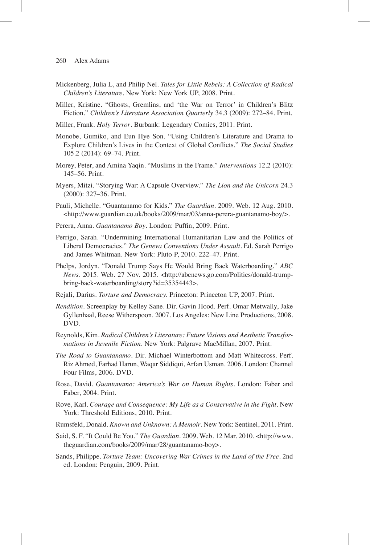- Mickenberg, Julia L, and Philip Nel. *Tales for Little Rebels: A Collection of Radical Children's Literature*. New York: New York UP, 2008. Print.
- Miller, Kristine. "Ghosts, Gremlins, and 'the War on Terror' in Children's Blitz Fiction." *Children's Literature Association Quarterly* 34.3 (2009): 272–84. Print.
- Miller, Frank. *Holy Terror*. Burbank: Legendary Comics, 2011. Print.
- Monobe, Gumiko, and Eun Hye Son. "Using Children's Literature and Drama to Explore Children's Lives in the Context of Global Conflicts." *The Social Studies* 105.2 (2014): 69–74. Print.
- Morey, Peter, and Amina Yaqin. "Muslims in the Frame." *Interventions* 12.2 (2010): 145–56. Print.
- Myers, Mitzi. "Storying War: A Capsule Overview." *The Lion and the Unicorn* 24.3 (2000): 327–36. Print.
- Pauli, Michelle. "Guantanamo for Kids." *The Guardian*. 2009. Web. 12 Aug. 2010. <http://www.guardian.co.uk/books/2009/mar/03/anna-perera-guantanamo-boy/>.
- Perera, Anna. *Guantanamo Boy*. London: Puffin, 2009. Print.
- Perrigo, Sarah. "Undermining International Humanitarian Law and the Politics of Liberal Democracies." *The Geneva Conventions Under Assault.* Ed. Sarah Perrigo and James Whitman. New York: Pluto P, 2010. 222–47. Print.
- Phelps, Jordyn. "Donald Trump Says He Would Bring Back Waterboarding." *ABC News*. 2015. Web. 27 Nov. 2015. <http://abcnews.go.com/Politics/donald-trumpbring-back-waterboarding/story?id=35354443>.
- Rejali, Darius. *Torture and Democracy.* Princeton: Princeton UP, 2007. Print.
- *Rendition*. Screenplay by Kelley Sane. Dir. Gavin Hood. Perf. Omar Metwally, Jake Gyllenhaal, Reese Witherspoon. 2007. Los Angeles: New Line Productions, 2008. DVD.
- Reynolds, Kim. *Radical Children's Literature: Future Visions and Aesthetic Transformations in Juvenile Fiction*. New York: Palgrave MacMillan, 2007. Print.
- *The Road to Guantanamo*. Dir. Michael Winterbottom and Matt Whitecross. Perf. Riz Ahmed, Farhad Harun, Waqar Siddiqui, Arfan Usman. 2006. London: Channel Four Films, 2006. DVD.
- Rose, David. *Guantanamo: America's War on Human Rights.* London: Faber and Faber, 2004. Print.
- Rove, Karl. *Courage and Consequence: My Life as a Conservative in the Fight*. New York: Threshold Editions, 2010. Print.
- Rumsfeld, Donald. *Known and Unknown: A Memoir*. New York: Sentinel, 2011. Print.
- Said, S. F. "It Could Be You." *The Guardian*. 2009. Web. 12 Mar. 2010. <http://www. theguardian.com/books/2009/mar/28/guantanamo-boy>.
- Sands, Philippe. *Torture Team: Uncovering War Crimes in the Land of the Free*. 2nd ed. London: Penguin, 2009. Print.